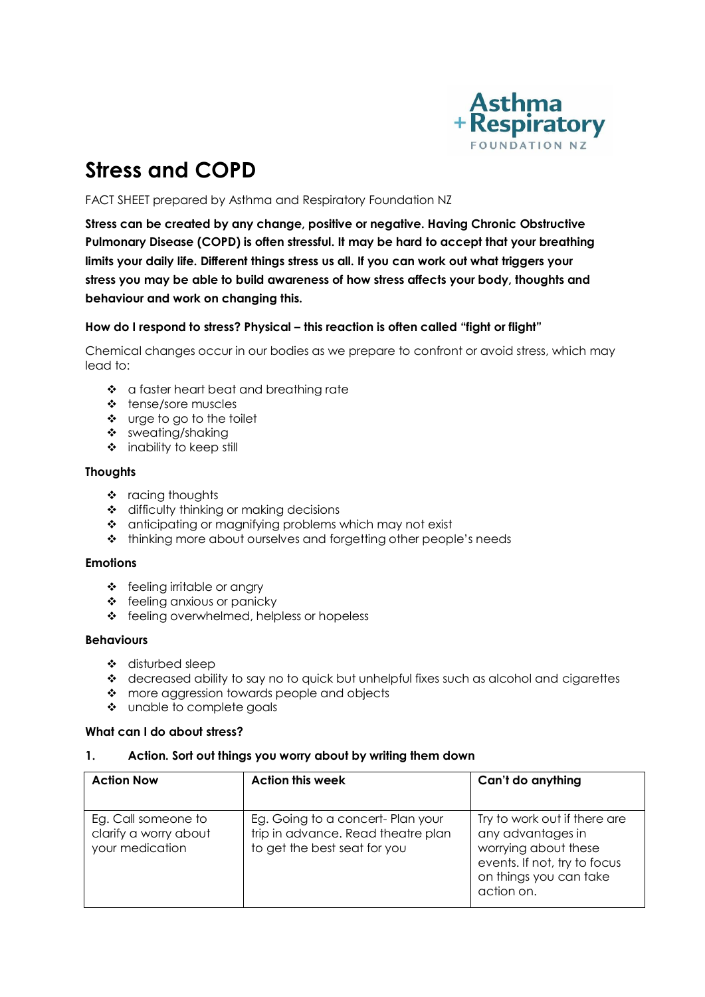

# **Stress and COPD**

FACT SHEET prepared by Asthma and Respiratory Foundation NZ

**Stress can be created by any change, positive or negative. Having Chronic Obstructive Pulmonary Disease (COPD) is often stressful. It may be hard to accept that your breathing limits your daily life. Different things stress us all. If you can work out what triggers your stress you may be able to build awareness of how stress affects your body, thoughts and behaviour and work on changing this.**

## **How do I respond to stress? Physical – this reaction is often called "fight or flight"**

Chemical changes occur in our bodies as we prepare to confront or avoid stress, which may lead to:

- ❖ a faster heart beat and breathing rate
- tense/sore muscles
- urge to go to the toilet
- \* sweating/shaking
- $\div$  inability to keep still

## **Thoughts**

- $\cdot \cdot$  racing thoughts
- ❖ difficulty thinking or making decisions
- \* anticipating or magnifying problems which may not exist
- \* thinking more about ourselves and forgetting other people's needs

#### **Emotions**

- feeling irritable or angry
- $\div$  feeling anxious or panicky
- ❖ feeling overwhelmed, helpless or hopeless

#### **Behaviours**

- disturbed sleep
- $\triangleleft$  decreased ability to say no to quick but unhelpful fixes such as alcohol and cigarettes
- more aggression towards people and objects
- unable to complete goals

#### **What can I do about stress?**

#### **1. Action. Sort out things you worry about by writing them down**

| <b>Action Now</b>                                               | <b>Action this week</b>                                                                                 | Can't do anything                                                                                                                                 |
|-----------------------------------------------------------------|---------------------------------------------------------------------------------------------------------|---------------------------------------------------------------------------------------------------------------------------------------------------|
| Eg. Call someone to<br>clarify a worry about<br>your medication | Eg. Going to a concert- Plan your<br>trip in advance. Read theatre plan<br>to get the best seat for you | Try to work out if there are<br>any advantages in<br>worrying about these<br>events. If not, try to focus<br>on things you can take<br>action on. |